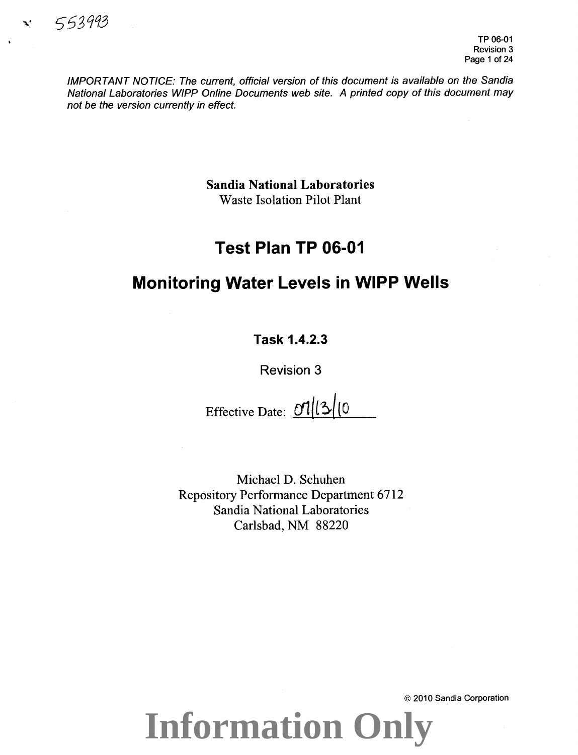IMPORTANT NOTICE: The current, official version of this document is available on the Sandia National Laboratories WIPP Online Documents web site. A printed copy of this document may not be the version currently in effect.

> **Sandia National Laboratories**  Waste Isolation Pilot Plant

### **Test Plan TP 06-01**

### **Monitoring Water Levels in WIPP Wells**

**Task 1.4.2.3** 

**Revision 3** 

Effective Date:  $\frac{1}{2}$ (0

Michael D. Schuhen Repository Performance Department 6712 Sandia National Laboratories Carlsbad, NM 88220

**Information Only**

© 2010 Sandia Corporation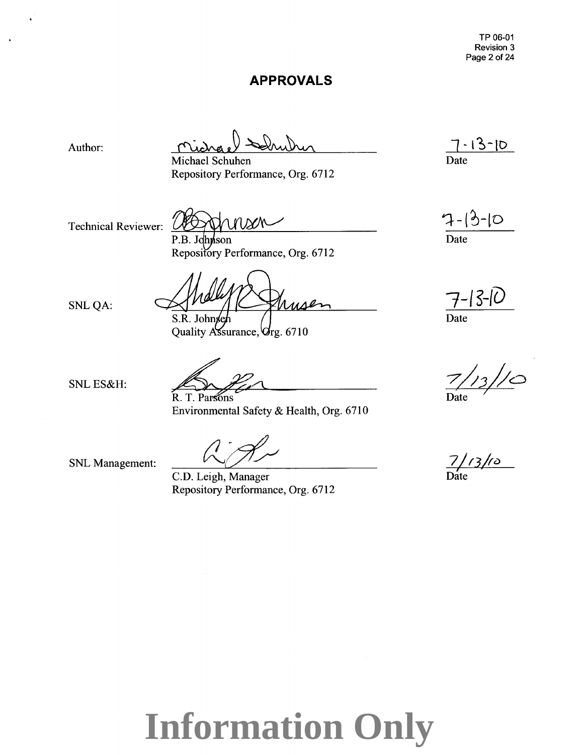TP 06-01 Revision 3 Page 2 of 24

### **APPROVALS**

Author:

Michael Schuhen Repository Performance, Org. 6712

Technical Reviewer:

nson P.B. Johnson

Repository Performance, Org. 6712

usen S.R. Johnsen

Quality Assurance, Org. 6710

SNLES&H:

SNLQA:

R. T. Parsons Environmental Safety & Health, Org. 6710

SNL Management:

C.D. Leigh, Manager Repository Performance, Org. 6712

 $-13$ - $10^{-1}$ Date

 $7 - 3 - 10$ Date

**7-f** *s-tu* 

Date

 $\frac{1}{3}$ //0

7/*13/10*<br>Date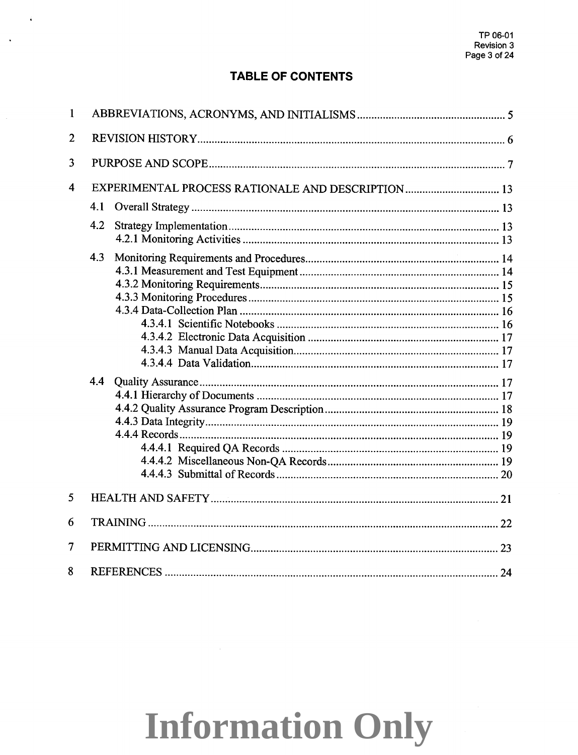### **TABLE OF CONTENTS**

 $\sim$  4

 $\mathcal{A}$ 

| $\mathbf{1}$   |     |                                                   |  |  |  |  |
|----------------|-----|---------------------------------------------------|--|--|--|--|
| $\overline{2}$ |     |                                                   |  |  |  |  |
| 3              |     |                                                   |  |  |  |  |
| 4              |     | EXPERIMENTAL PROCESS RATIONALE AND DESCRIPTION 13 |  |  |  |  |
|                | 4.1 |                                                   |  |  |  |  |
|                | 4.2 |                                                   |  |  |  |  |
|                | 4.3 |                                                   |  |  |  |  |
|                | 4.4 |                                                   |  |  |  |  |
| 5              |     |                                                   |  |  |  |  |
| 6              |     |                                                   |  |  |  |  |
| 7              |     |                                                   |  |  |  |  |
| 8              |     |                                                   |  |  |  |  |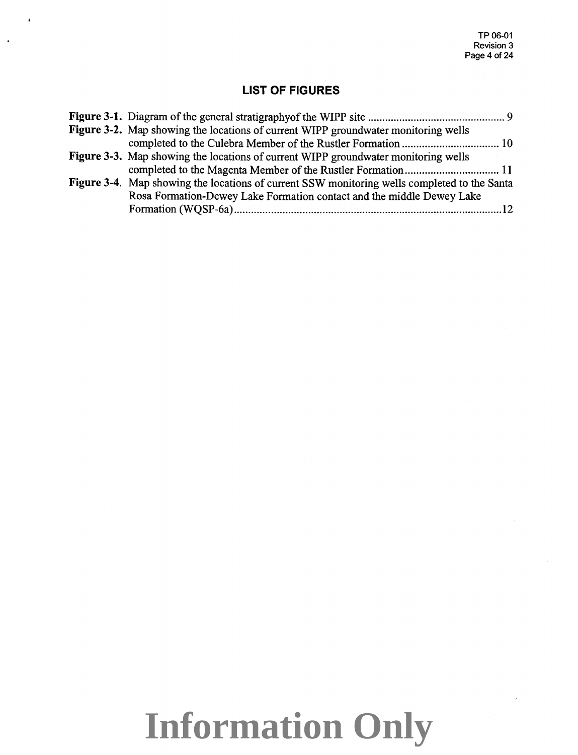### **LIST OF FIGURES**

 $\overline{1}$ 

 $\ddot{\phantom{a}}$ 

| Figure 3-2. Map showing the locations of current WIPP groundwater monitoring wells           |  |
|----------------------------------------------------------------------------------------------|--|
|                                                                                              |  |
| Figure 3-3. Map showing the locations of current WIPP groundwater monitoring wells           |  |
|                                                                                              |  |
| Figure 3-4. Map showing the locations of current SSW monitoring wells completed to the Santa |  |
| Rosa Formation-Dewey Lake Formation contact and the middle Dewey Lake                        |  |
|                                                                                              |  |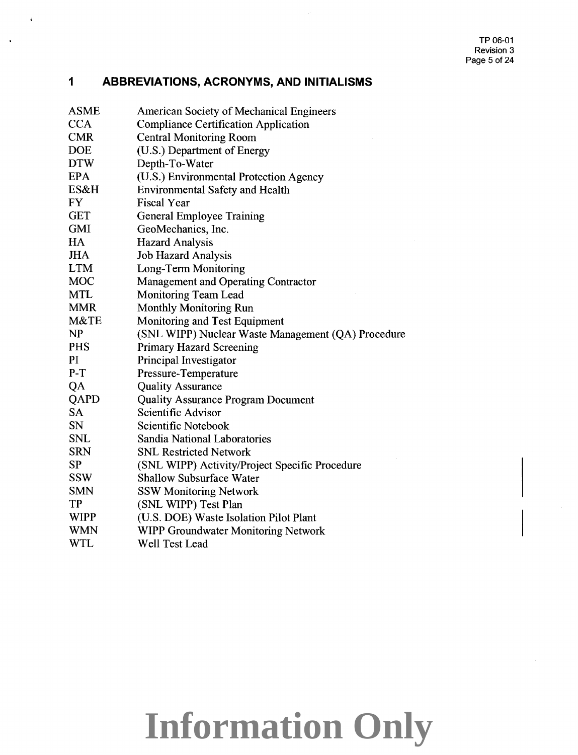#### **1 ABBREVIATIONS, ACRONYMS, AND INITIALISMS**

 $\rightarrow$ 

 $\ddot{\phantom{1}}$ 

| <b>ASME</b> | <b>American Society of Mechanical Engineers</b>    |
|-------------|----------------------------------------------------|
| <b>CCA</b>  | <b>Compliance Certification Application</b>        |
| <b>CMR</b>  | <b>Central Monitoring Room</b>                     |
| <b>DOE</b>  | (U.S.) Department of Energy                        |
| <b>DTW</b>  | Depth-To-Water                                     |
| <b>EPA</b>  | (U.S.) Environmental Protection Agency             |
| ES&H        | <b>Environmental Safety and Health</b>             |
| <b>FY</b>   | <b>Fiscal Year</b>                                 |
| <b>GET</b>  | <b>General Employee Training</b>                   |
| <b>GMI</b>  | GeoMechanics, Inc.                                 |
| HA          | <b>Hazard Analysis</b>                             |
| <b>JHA</b>  | <b>Job Hazard Analysis</b>                         |
| <b>LTM</b>  | Long-Term Monitoring                               |
| <b>MOC</b>  | <b>Management and Operating Contractor</b>         |
| <b>MTL</b>  | <b>Monitoring Team Lead</b>                        |
| <b>MMR</b>  | <b>Monthly Monitoring Run</b>                      |
| M&TE        | Monitoring and Test Equipment                      |
| NP          | (SNL WIPP) Nuclear Waste Management (QA) Procedure |
| <b>PHS</b>  | <b>Primary Hazard Screening</b>                    |
| PI          | Principal Investigator                             |
| $P-T$       | Pressure-Temperature                               |
| QA          | <b>Quality Assurance</b>                           |
| QAPD        | <b>Quality Assurance Program Document</b>          |
| <b>SA</b>   | Scientific Advisor                                 |
| <b>SN</b>   | Scientific Notebook                                |
| <b>SNL</b>  | Sandia National Laboratories                       |
| <b>SRN</b>  | <b>SNL Restricted Network</b>                      |
| <b>SP</b>   | (SNL WIPP) Activity/Project Specific Procedure     |
| <b>SSW</b>  | <b>Shallow Subsurface Water</b>                    |
| <b>SMN</b>  | <b>SSW Monitoring Network</b>                      |
| <b>TP</b>   | (SNL WIPP) Test Plan                               |
| <b>WIPP</b> | (U.S. DOE) Waste Isolation Pilot Plant             |
| <b>WMN</b>  | WIPP Groundwater Monitoring Network                |
| <b>WTL</b>  | Well Test Lead                                     |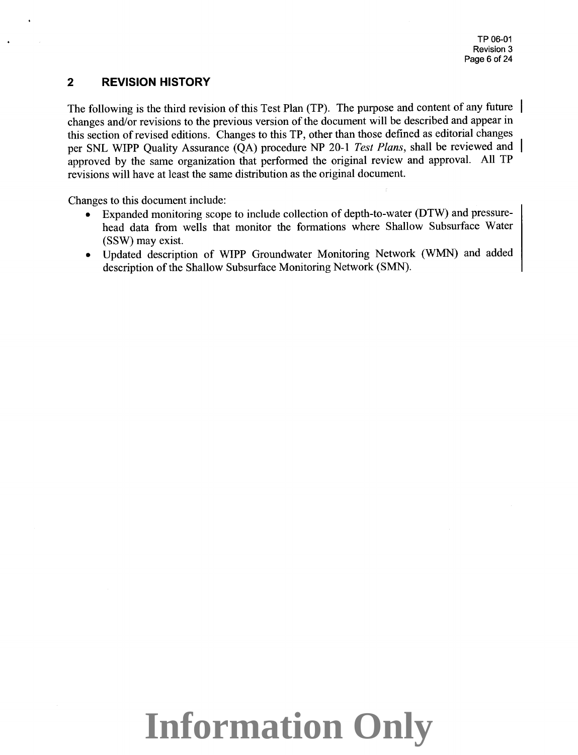#### **2 REVISION HISTORY**

The following is the third revision of this Test Plan (TP). The purpose and content of any future | changes and/or revisions to the previous version of the document will be described and appear in this section of revised editions. Changes to this TP, other than those defined as editorial changes per SNL WIPP Quality Assurance (QA) procedure NP 20-1 *Test Plans,* shall be reviewed and approved by the same organization that performed the original review and approval. All TP revisions will have at least the same distribution as the original document.

Changes to this document include:

- Expanded monitoring scope to include collection of depth-to-water (DTW) and pressurehead data from wells that monitor the formations where Shallow Subsurface Water (SSW) may exist.
- Updated description of WIPP Groundwater Monitoring Network (WMN) and added description of the Shallow Subsurface Monitoring Network (SMN).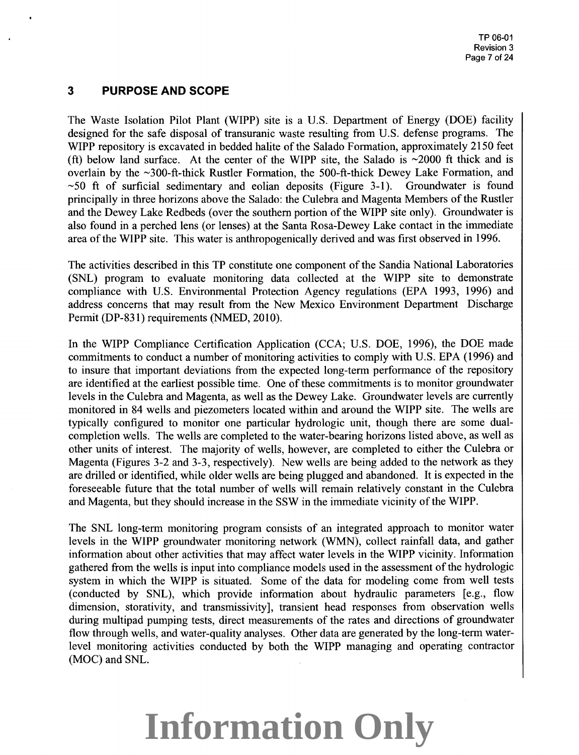### **3 PURPOSE AND SCOPE**

The Waste Isolation Pilot Plant (WIPP) site is a U.S. Department of Energy (DOE) facility designed for the safe disposal of transuranic waste resulting from U.S. defense programs. The WIPP repository is excavated in bedded halite of the Salado Formation, approximately 2150 feet (ft) below land surface. At the center of the WIPP site, the Salado is  $\sim$ 2000 ft thick and is overlain by the ~300-ft-thick Rustler Formation, the 500-ft-thick Dewey Lake Formation, and  $\sim$  50 ft of surficial sedimentary and eolian deposits (Figure 3-1). Groundwater is found principally in three horizons above the Salado: the Culebra and Magenta Members of the Rustler and the Dewey Lake Redbeds (over the southern portion of the WIPP site only). Groundwater is also found in a perched lens (or lenses) at the Santa Rosa-Dewey Lake contact in the immediate area of the WIPP site. This water is anthropogenically derived and was first observed in 1996.

The activities described in this TP constitute one component of the Sandia National Laboratories (SNL) program to evaluate monitoring data collected at the WIPP site to demonstrate compliance with U.S. Environmental Protection Agency regulations (EPA 1993, 1996) and address concerns that may result from the New Mexico Environment Department Discharge Permit (DP-831) requirements (NMED, 2010).

In the WIPP Compliance Certification Application (CCA; U.S. DOE, 1996), the DOE made commitments to conduct a number of monitoring activities to comply with U.S. EPA (1996) and to insure that important deviations from the expected long-term performance of the repository are identified at the earliest possible time. One of these commitments is to monitor groundwater levels in the Culebra and Magenta, as well as the Dewey Lake. Groundwater levels are currently monitored in 84 wells and piezometers located within and around the WIPP site. The wells are typically configured to monitor one particular hydrologic unit, though there are some dualcompletion wells. The wells are completed to the water-bearing horizons listed above, as well as other units of interest. The majority of wells, however, are completed to either the Culebra or Magenta (Figures 3-2 and 3-3, respectively). New wells are being added to the network as they are drilled or identified, while older wells are being plugged and abandoned. It is expected in the foreseeable future that the total number of wells will remain relatively constant in the Culebra and Magenta, but they should increase in the SSW in the immediate vicinity of the WIPP.

The SNL long-term monitoring program consists of an integrated approach to monitor water levels in the WIPP groundwater monitoring network (WMN), collect rainfall data, and gather information about other activities that may affect water levels in the WIPP vicinity. Information gathered from the wells is input into compliance models used in the assessment of the hydrologic system in which the WIPP is situated. Some of the data for modeling come from well tests (conducted by SNL), which provide information about hydraulic parameters [e.g., flow dimension, storativity, and transmissivity], transient head responses from observation wells during multipad pumping tests, direct measurements of the rates and directions of groundwater flow through wells, and water-quality analyses. Other data are generated by the long-term waterlevel monitoring activities conducted by both the WIPP managing and operating contractor (MOC) and SNL.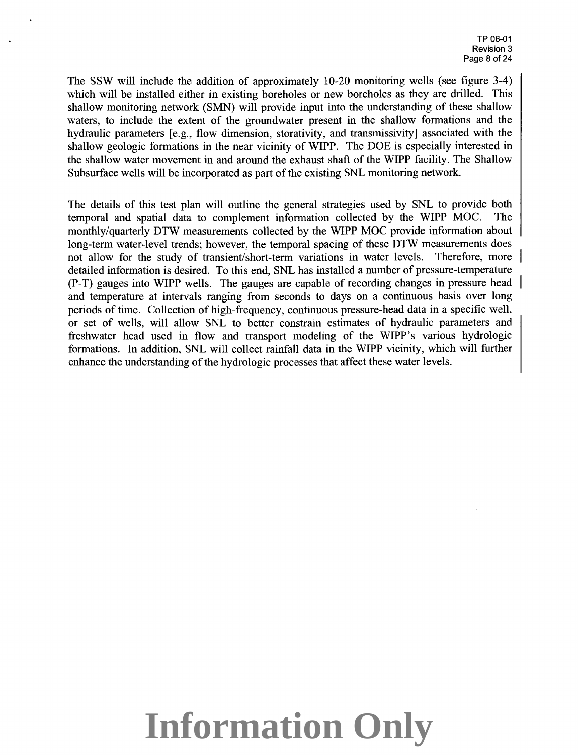The SSW will include the addition of approximately 10-20 monitoring wells (see figure 3-4) which will be installed either in existing boreholes or new boreholes as they are drilled. This shallow monitoring network (SMN) will provide input into the understanding of these shallow waters, to include the extent of the groundwater present in the shallow formations and the hydraulic parameters [e.g., flow dimension, storativity, and transmissivity] associated with the shallow geologic formations in the near vicinity of WIPP. The DOE is especially interested in the shallow water movement in and around the exhaust shaft of the WIPP facility. The Shallow Subsurface wells will be incorporated as part of the existing SNL monitoring network.

The details of this test plan will outline the general strategies used by SNL to provide both temporal and spatial data to complement information collected by the WIPP MOC. The monthly/quarterly DTW measurements collected by the WIPP MOC provide information about long-term water-level trends; however, the temporal spacing of these DTW measurements does not allow for the study of transient/short-term variations in water levels. Therefore, more detailed information is desired. To this end, SNL has installed a number of pressure-temperature (P-T) gauges into WIPP wells. The gauges are capable of recording changes in pressure head and temperature at intervals ranging from seconds to days on a continuous basis over long periods of time. Collection of high-frequency, continuous pressure-head data in a specific well, or set of wells, will allow SNL to better constrain estimates of hydraulic parameters and freshwater head used in flow and transport modeling of the WIPP's various hydrologic formations. In addition, SNL will collect rainfall data in the WIPP vicinity, which will further enhance the understanding of the hydrologic processes that affect these water levels.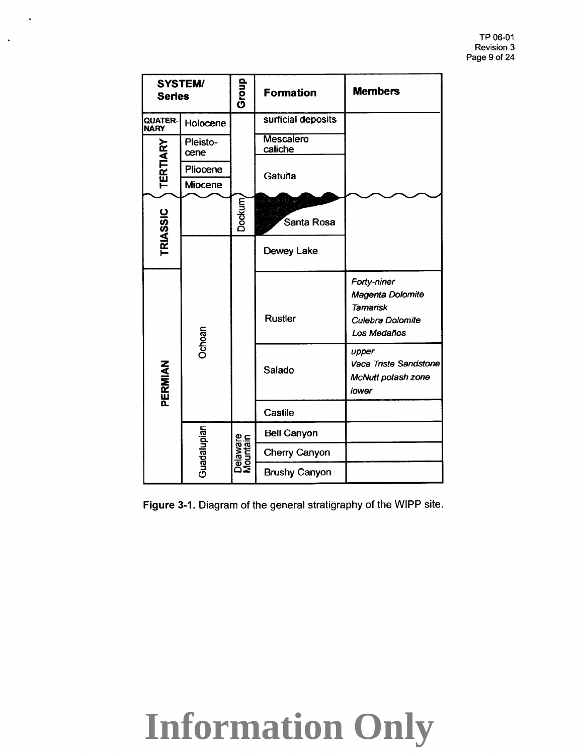| <b>Series</b>          | <b>SYSTEM/</b>   | Group                | Formation            | <b>Members</b>                                                                        |
|------------------------|------------------|----------------------|----------------------|---------------------------------------------------------------------------------------|
| QUATER-<br><b>NARY</b> | Holocene         |                      | surficial deposits   |                                                                                       |
| <b>TERTIARY</b>        | Pleisto-<br>cene |                      | Mescalero<br>caliche |                                                                                       |
|                        | Pliocene         |                      | Gatuña               |                                                                                       |
|                        | Miocene          |                      |                      |                                                                                       |
| TRIASSIC               |                  | Dockum               | Santa Rosa           |                                                                                       |
|                        |                  |                      | Dewey Lake           |                                                                                       |
|                        | Ochoan           |                      | <b>Rustler</b>       | Forty-niner<br>Magenta Dolomite<br><b>Tamarisk</b><br>Culebra Dolomite<br>Los Medaños |
| PERMIAN                |                  |                      | Salado               | upper<br>Vaca Triste Sandstone<br>McNutt potash zone<br>lower                         |
|                        |                  |                      | Castile              |                                                                                       |
|                        | Guadalupian      | Delaware<br>Mountain | <b>Bell Canyon</b>   |                                                                                       |
|                        |                  |                      | Cherry Canyon        |                                                                                       |
|                        |                  |                      | <b>Brushy Canyon</b> |                                                                                       |

 $\hat{\bullet}$ 

 $\mathcal{A}$ 

**Figure 3-1.** Diagram of the general stratigraphy of the WIPP site.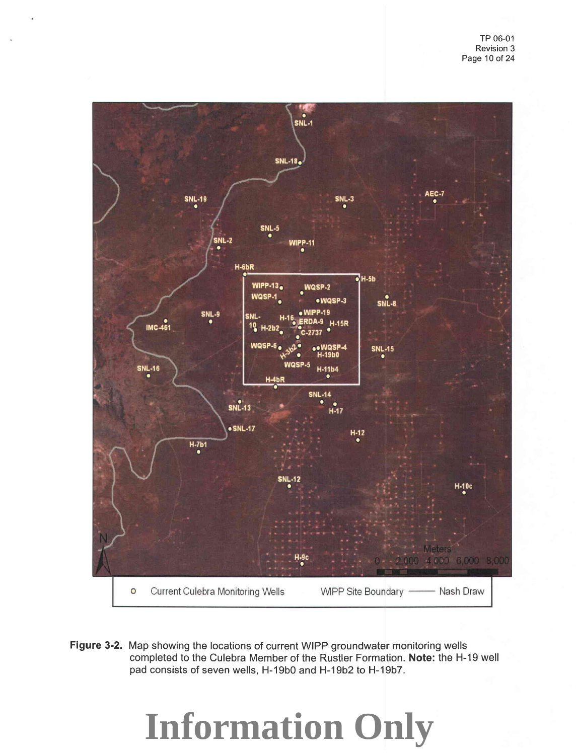

**Figure** 3-2. Map showing the locations of current WIPP groundwater monitoring wells completed to the Culebra Member of the Rustler Formation. **Note:** the H-19 well pad consists of seven wells, H-19b0 and H-19b2 to H-19b7.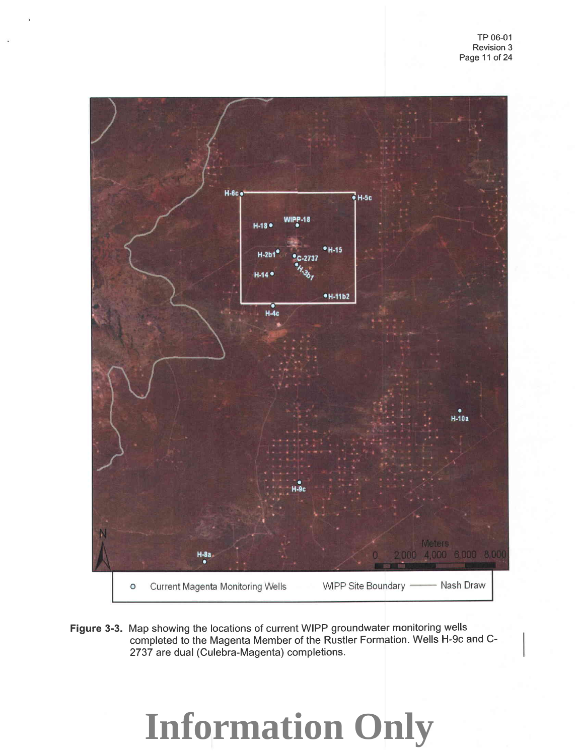

**Figure** 3-3. Map showing the locations of current WIPP groundwater monitoring wells completed to the Magenta Member of the Rustler Formation. Wells H-9c and C-2737 are dual (Culebra-Magenta) completions.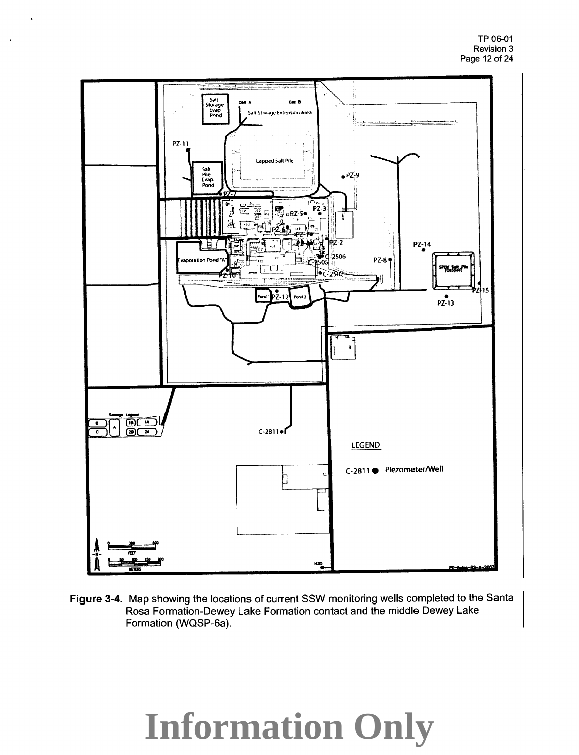

**Figure** 3-4. Map showing the locations of current SSW monitoring wells completed to the Santa Rosa Formation-Dewey Lake Formation contact and the middle Dewey Lake Formation (WQSP-6a).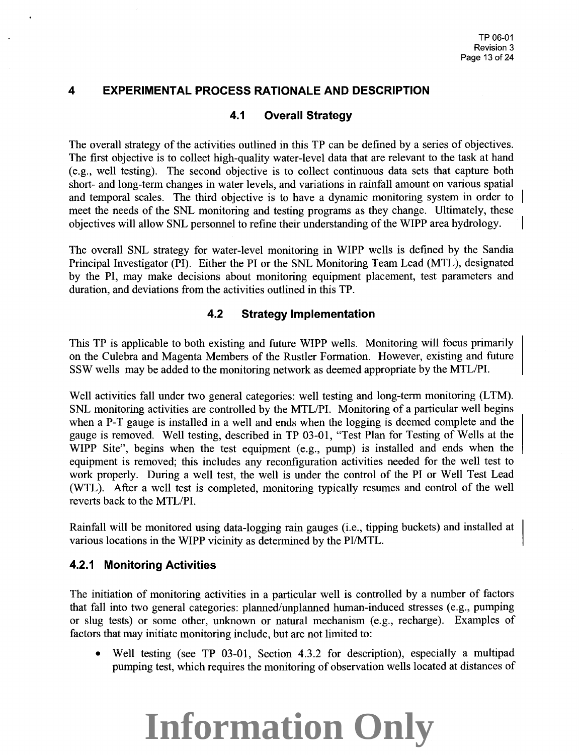### **4 EXPERIMENTAL PROCESS RATIONALE AND DESCRIPTION**

### **4.1 Overall Strategy**

The overall strategy of the activities outlined in this TP can be defined by a series of objectives. The first objective is to collect high-quality water-level data that are relevant to the task at hand (e.g., well testing). The second objective is to collect continuous data sets that capture both short- and long-term changes in water levels, and variations in rainfall amount on various spatial and temporal scales. The third objective is to have a dynamic monitoring system in order to meet the needs of the SNL monitoring and testing programs as they change. Ultimately, these objectives will allow SNL personnel to refine their understanding of the WIPP area hydrology.

The overall SNL strategy for water-level monitoring in WIPP wells is defined by the Sandia Principal Investigator (PI). Either the PI or the SNL Monitoring Team Lead (MTL), designated by the PI, may make decisions about monitoring equipment placement, test parameters and duration, and deviations from the activities outlined in this TP.

### **4.2 Strategy Implementation**

This TP is applicable to both existing and future WIPP wells. Monitoring will focus primarily on the Culebra and Magenta Members of the Rustler Formation. However, existing and future SSW wells may be added to the monitoring network as deemed appropriate by the MTL/PI.

Well activities fall under two general categories: well testing and long-term monitoring (LTM). SNL monitoring activities are controlled by the MTL/PI. Monitoring of a particular well begins when a P-T gauge is installed in a well and ends when the logging is deemed complete and the gauge is removed. Well testing, described in TP 03-01, "Test Plan for Testing of Wells at the WIPP Site", begins when the test equipment (e.g., pump) is installed and ends when the equipment is removed; this includes any reconfiguration activities needed for the well test to work properly. During a well test, the well is under the control of the PI or Well Test Lead (WTL ). After a well test is completed, monitoring typically resumes and control of the well reverts back to the MTL/PL

Rainfall will be monitored using data-logging rain gauges (i.e., tipping buckets) and installed at various locations in the WIPP vicinity as determined by the PI/MTL.

#### **4.2.1 Monitoring Activities**

The initiation of monitoring activities in a particular well is controlled by a number of factors that fall into two general categories: planned/unplanned human-induced stresses (e.g., pumping or slug tests) or some other, unknown or natural mechanism (e.g., recharge). Examples of factors that may initiate monitoring include, but are not limited to:

• Well testing (see TP 03-01, Section 4.3.2 for description), especially a multipad pumping test, which requires the monitoring of observation wells located at distances of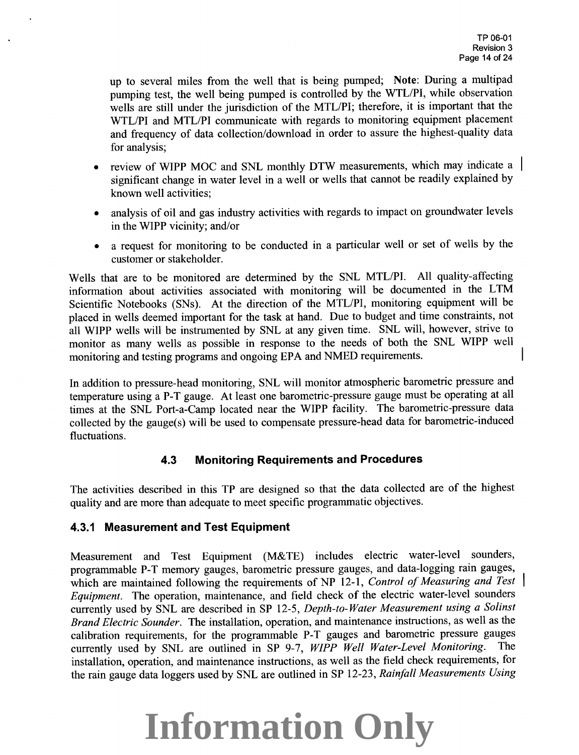up to several miles from the well that is being pumped; Note: During a multipad pumping test, the well being pumped is controlled by the WTL/PI, while observation wells are still under the jurisdiction of the MTL/PI; therefore, it is important that the WTL/PI and MTL/PI communicate with regards to monitoring equipment placement and frequency of data collection/download in order to assure the highest-quality data for analysis;

- review of WIPP MOC and SNL monthly DTW measurements, which may indicate a | significant change in water level in a well or wells that cannot be readily explained by known well activities;
- analysis of oil and gas industry activities with regards to impact on groundwater levels in the WIPP vicinity; and/or
- a request for monitoring to be conducted in a particular well or set of wells by the customer or stakeholder.

Wells that are to be monitored are determined by the SNL MTL/PI. All quality-affecting information about activities associated with monitoring will be documented in the LTM Scientific Notebooks (SNs). At the direction of the MTL/PI, monitoring equipment will be <sup>p</sup>laced in wells deemed important for the task at hand. Due to budget and time constraints, not all WIPP wells will be instrumented by SNL at any given time. SNL will, however, strive to monitor as many wells as possible in response to the needs of both the SNL WIPP well monitoring and testing programs and ongoing EPA and NMED requirements.

In addition to pressure-head monitoring, SNL will monitor atmospheric barometric pressure and temperature using a P-T gauge. At least one barometric-pressure gauge must be operating at all times at the SNL Port-a-Camp located near the WIPP facility. The barometric-pressure data collected by the gauge(s) will be used to compensate pressure-head data for barometric-induced fluctuations.

#### **4.3 Monitoring Requirements and Procedures**

The activities described in this TP are designed so that the data collected are of the highest quality and are more than adequate to meet specific programmatic objectives.

### **4.3.1 Measurement and Test Equipment**

Measurement and Test Equipment (M&TE) includes electric water-level sounders, programmable P-T memory gauges, barometric pressure gauges, and data-logging rain gauges, which are maintained following the requirements of NP 12-1, *Control of Measuring and Test Equipment.* The operation, maintenance, and field check of the electric water-level sounders currently used by SNL are described in SP 12-5, *Depth-to-Water Measurement using a Solinst Brand Electric Sounder.* The installation, operation, and maintenance instructions, as well as the calibration requirements, for the programmable P-T gauges and barometric pressure gauges<br>currently used by SNL are outlined in SP 9-7 WIPP Well Water-Level Monitoring. The currently used by SNL are outlined in SP 9-7, *WIPP Well Water-Level Monitoring*. installation, operation, and maintenance instructions, as well as the field check requirements, for the rain gauge data loggers used by SNL are outlined in SP 12-23, *Rainfall Measurements Using*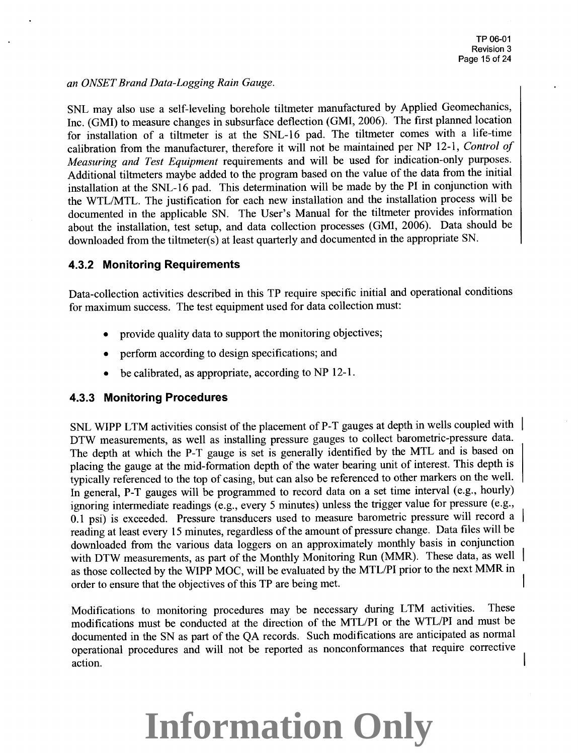*an ONSET Brand Data-Logging Rain Gauge.* 

SNL may also use a self-leveling borehole tiltmeter manufactured by Applied Geomechanics, Inc. (GMI) to measure changes in subsurface deflection (GMI, 2006). The first planned location for installation of a tiltmeter is at the SNL-16 pad. The tiltmeter comes with a life-time calibration from the manufacturer, therefore it will not be maintained per NP 12-1, *Control of Measuring and Test Equipment* requirements and will be used for indication-only purposes. Additional tiltmeters maybe added to the program based on the value of the data from the initial installation at the SNL-16 pad. This determination will be made by the PI in conjunction with the WTLIMTL. The justification for each new installation and the installation process will be documented in the applicable SN. The User's Manual for the tiltmeter provides information about the installation, test setup, and data collection processes (GMI, 2006). Data should be downloaded from the tiltmeter(s) at least quarterly and documented in the appropriate SN.

#### **4.3.2 Monitoring Requirements**

Data-collection activities described in this TP require specific initial and operational conditions for maximum success. The test equipment used for data collection must:

- provide quality data to support the monitoring objectives;
- perform according to design specifications; and
- be calibrated, as appropriate, according to NP 12-1.

#### **4.3.3 Monitoring Procedures**

SNL WIPP LTM activities consist of the placement of P-T gauges at depth in wells coupled with DTW measurements, as well as installing pressure gauges to collect barometric-pressure data. The depth at which the P-T gauge is set is generally identified by the MTL and is based on <sup>p</sup>lacing the gauge at the mid-formation depth of the water bearing unit of interest. This depth is typically referenced to the top of casing, but can also be referenced to other markers on the well. In general, P-T gauges will be programmed to record data on a set time interval (e.g., hourly) ignoring intermediate readings (e.g., every 5 minutes) unless the trigger value for pressure (e.g., 0.1 psi) is exceeded. Pressure transducers used to measure barometric pressure will record a reading at least every 15 minutes, regardless of the amount of pressure change. Data files will be downloaded from the various data loggers on an approximately monthly basis in conjunction with DTW measurements, as part of the Monthly Monitoring Run (MMR). These data, as well as those collected by the WIPP MOC, will be evaluated by the MTL/PI prior to the next MMR in order to ensure that the objectives of this TP are being met.

Modifications to monitoring procedures may be necessary during LTM activities. These modifications must be conducted at the direction of the MTL/PI or the WTL/PI and must be documented in the SN as part of the QA records. Such modifications are anticipated as normal operational procedures and will not be reported as nonconformances that require corrective action.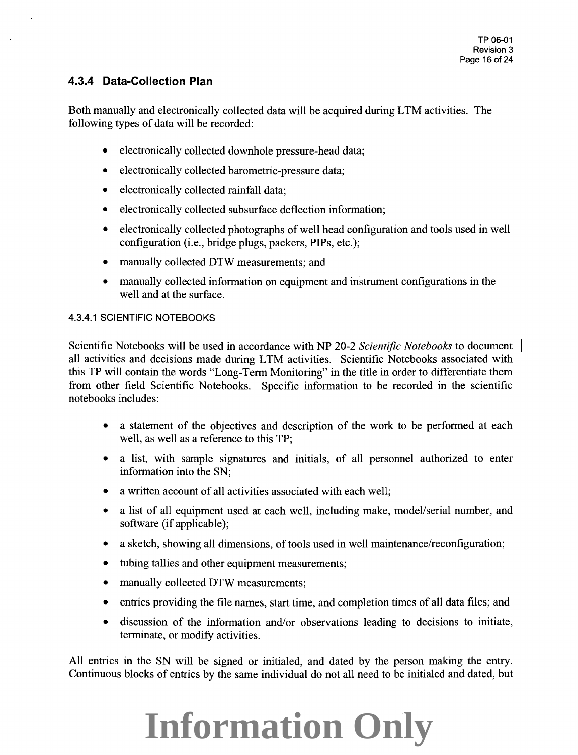### **4.3.4 Data-Collection Plan**

Both manually and electronically collected data will be acquired during LTM activities. The following types of data will be recorded:

- electronically collected downhole pressure-head data;
- electronically collected barometric-pressure data;
- electronically collected rainfall data;
- electronically collected subsurface deflection information;
- electronically collected photographs of well head configuration and tools used in well configuration (i.e., bridge plugs, packers, PIPs, etc.);
- manually collected DTW measurements; and
- manually collected information on equipment and instrument configurations in the well and at the surface.

#### 4.3.4.1 SCIENTIFIC NOTEBOOKS

Scientific Notebooks will be used in accordance with NP 20-2 *Scientific Notebooks* to document all activities and decisions made during LTM activities. Scientific Notebooks associated with this TP will contain the words "Long-Term Monitoring" in the title in order to differentiate them from other field Scientific Notebooks. Specific information to be recorded in the scientific notebooks includes:

- a statement of the objectives and description of the work to be performed at each well, as well as a reference to this TP;
- a list, with sample signatures and initials, of all personnel authorized to enter information into the SN;
- a written account of all activities associated with each well;
- a list of all equipment used at each well, including make, model/serial number, and software (if applicable);
- a sketch, showing all dimensions, of tools used in well maintenance/reconfiguration;
- tubing tallies and other equipment measurements;
- manually collected DTW measurements;
- entries providing the file names, start time, and completion times of all data files; and
- discussion of the information and/or observations leading to decisions to initiate, terminate, or modify activities.

All entries in the SN will be signed or initialed, and dated by the person making the entry. Continuous blocks of entries by the same individual do not all need to be initialed and dated, but

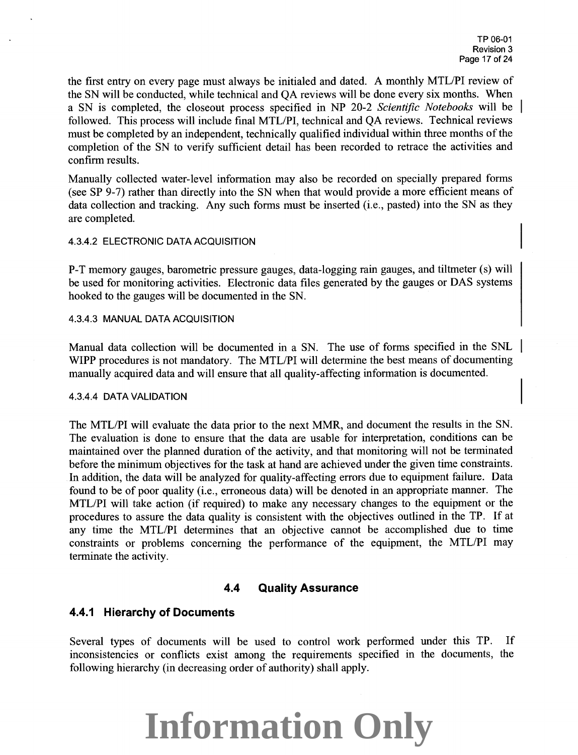the first entry on every page must always be initialed and dated. A monthly MTL/PI review of the SN will be conducted, while technical and QA reviews will be done every six months. When a SN is completed, the closeout process specified in NP 20-2 *Scientific Notebooks* will be followed. This process will include final MTL/PI, technical and QA reviews. Technical reviews must be completed by an independent, technically qualified individual within three months of the completion of the SN to verify sufficient detail has been recorded to retrace the activities and confirm results.

Manually collected water-level information may also be recorded on specially prepared forms (see SP 9-7) rather than directly into the SN when that would provide a more efficient means of data collection and tracking. Any such forms must be inserted (i.e., pasted) into the SN as they are completed.

#### 4.3.4.2 ELECTRONIC DATA ACQUISITION

P-T memory gauges, barometric pressure gauges, data-logging rain gauges, and tiltmeter (s) will be used for monitoring activities. Electronic data files generated by the gauges or DAS systems hooked to the gauges will be documented in the SN.

#### 4.3.4.3 MANUAL DATA ACQUISITION

Manual data collection will be documented in a SN. The use of forms specified in the SNL WIPP procedures is not mandatory. The MTL/PI will determine the best means of documenting manually acquired data and will ensure that all quality-affecting information is documented.

#### 4.3.4.4 DATA VALIDATION

The MTL/PI will evaluate the data prior to the next MMR, and document the results in the SN. The evaluation is done to ensure that the data are usable for interpretation, conditions can be maintained over the planned duration of the activity, and that monitoring will not be terminated before the minimum objectives for the task at hand are achieved under the given time constraints. In addition, the data will be analyzed for quality-affecting errors due to equipment failure. Data found to be of poor quality (i.e., erroneous data) will be denoted in an appropriate manner. The MTLIPI will take action (if required) to make any necessary changes to the equipment or the procedures to assure the data quality is consistent with the objectives outlined in the TP. If at any time the MTLIPI determines that an objective cannot be accomplished due to time constraints or problems concerning the performance of the equipment, the MTL/PI may terminate the activity.

#### **4.4 Quality Assurance**

#### **4.4.1 Hierarchy of Documents**

Several types of documents will be used to control work performed under this TP. If inconsistencies or conflicts exist among the requirements specified m the documents, the following hierarchy (in decreasing order of authority) shall apply.

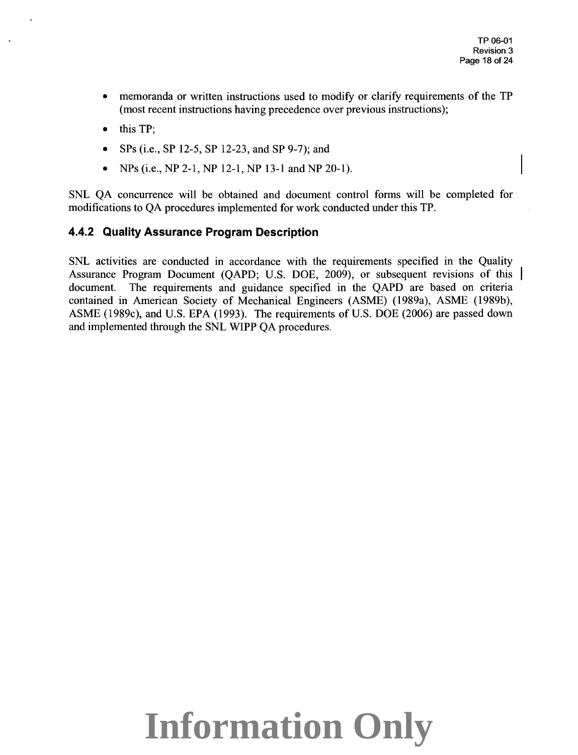- memoranda or written instructions used to modify or clarify requirements of the TP (most recent instructions having precedence over previous instructions);
- this TP;
- SPs (i.e., SP 12-5, SP 12-23, and SP 9-7); and
- NPs (i.e., NP 2-1, NP 12-1, NP 13-1 and NP 20-1).

SNL QA concurrence will be obtained and document control forms will be completed for modifications to QA procedures implemented for work conducted under this TP.

### **4.4.2 Quality Assurance Program Description**

SNL activities are conducted in accordance with the requirements specified in the Quality Assurance Program Document (QAPD; U.S. DOE, 2009), or subsequent revisions of this document. The requirements and guidance specified in the QAPD are based on criteria contained in American Society of Mechanical Engineers (ASME) (1989a), ASME (1989b), ASME (1989c), and U.S. EPA (1993). The requirements of U.S. DOE (2006) are passed down and implemented through the SNL WIPP QA procedures.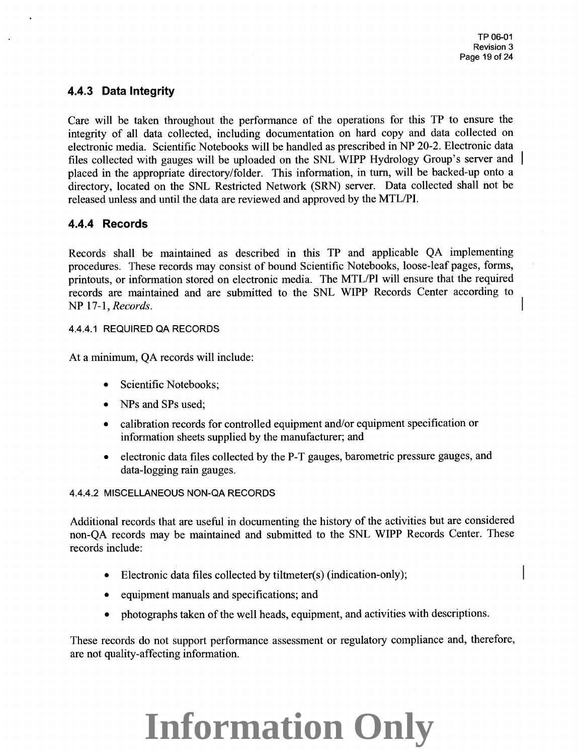### **4.4.3 Data Integrity**

Care will be taken throughout the performance of the operations for this TP to ensure the integrity of all data collected, including documentation on hard copy and data collected on electronic media. Scientific Notebooks will be handled as prescribed in NP 20-2. Electronic data files collected with gauges will be uploaded on the SNL WIPP Hydrology Group's server and <sup>p</sup>laced in the appropriate directory/folder. This information, in tum, will be backed-up onto a directory, located on the SNL Restricted Network (SRN) server. Data collected shall not be released unless and until the data are reviewed and approved by the MTL/PI.

#### **4.4.4 Records**

Records shall be maintained as described in this TP and applicable QA implementing procedures. These records may consist of bound Scientific Notebooks, loose-leaf pages, forms, printouts, or information stored on electronic media. The MTL/PI will ensure that the required records are maintained and are submitted to the SNL WIPP Records Center according to NP 17-1, *Records.* 

#### 4.4.4.1 REQUIRED QA RECORDS

At a minimum, QA records will include:

- Scientific Notebooks;
- NPs and SPs used;
- calibration records for controlled equipment and/or equipment specification or information sheets supplied by the manufacturer; and
- electronic data files collected by the P-T gauges, barometric pressure gauges, and data-logging rain gauges.

#### 4.4.4.2 MISCELLANEOUS NON-QA RECORDS

Additional records that are useful in documenting the history of the activities but are considered non-QA records may be maintained and submitted to the SNL WIPP Records Center. These records include:

- Electronic data files collected by tiltmeter(s) (indication-only);
- equipment manuals and specifications; and
- photographs taken of the well heads, equipment, and activities with descriptions.

These records do not support performance assessment or regulatory compliance and, therefore, are not quality-affecting information.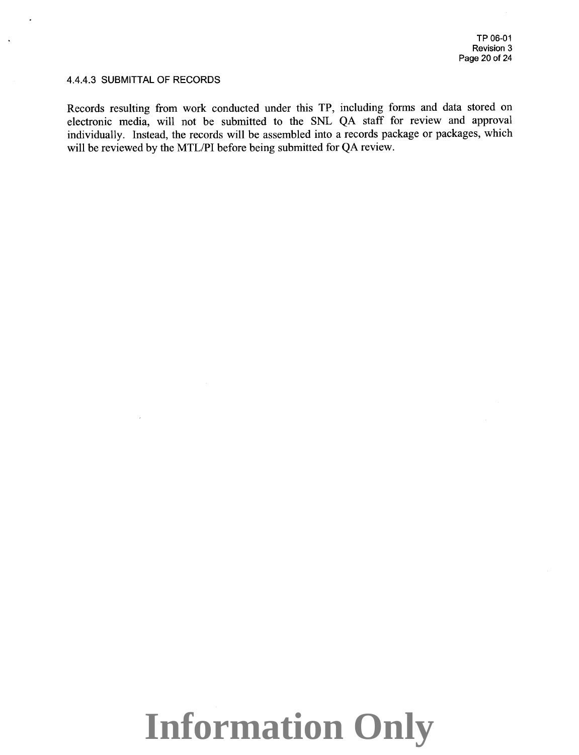#### 4.4.4.3 SUBMITTAL OF RECORDS

Records resulting from work conducted under this TP, including forms and data stored on electronic media, will not be submitted to the SNL QA staff for review and approval individually. Instead, the records will be assembled into a records package or packages, which will be reviewed by the MTL/PI before being submitted for QA review.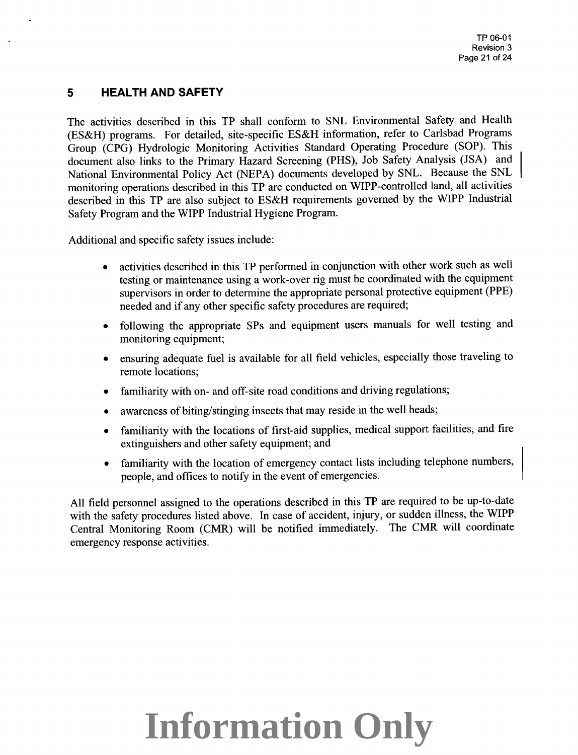### **5 HEALTH AND SAFETY**

The activities described in this TP shall conform to SNL Environmental Safety and Health (ES&H) programs. For detailed, site-specific ES&H information, refer to Carlsbad Programs Group (CPG) Hydrologic Monitoring Activities Standard Operating Procedure (SOP). This document also links to the Primary Hazard Screening (PHS), Job Safety Analysis (JSA) and National Environmental Policy Act (NEPA) documents developed by SNL. Because the SNL monitoring operations described in this TP are conducted on WIPP-controlled land, all activities described in this TP are also subject to ES&H requirements governed by the WIPP Industrial Safety Program and the WIPP Industrial Hygiene Program.

Additional and specific safety issues include:

- activities described in this TP performed in conjunction with other work such as well testing or maintenance using a work-over rig must be coordinated with the equipment supervisors in order to determine the appropriate personal protective equipment (PPE) needed and if any other specific safety procedures are required;
- following the appropriate SPs and equipment users manuals for well testing and monitoring equipment;
- ensuring adequate fuel is available for all field vehicles, especially those traveling to remote locations;
- familiarity with on- and off-site road conditions and driving regulations;
- awareness of biting/stinging insects that may reside in the well heads;
- familiarity with the locations of first-aid supplies, medical support facilities, and fire extinguishers and other safety equipment; and
- familiarity with the location of emergency contact lists including telephone numbers, people, and offices to notify in the event of emergencies.

All field personnel assigned to the operations described in this TP are required to be up-to-date with the safety procedures listed above. In case of accident, injury, or sudden illness, the WIPP Central Monitoring Room (CMR) will be notified immediately. The CMR will coordinate emergency response activities.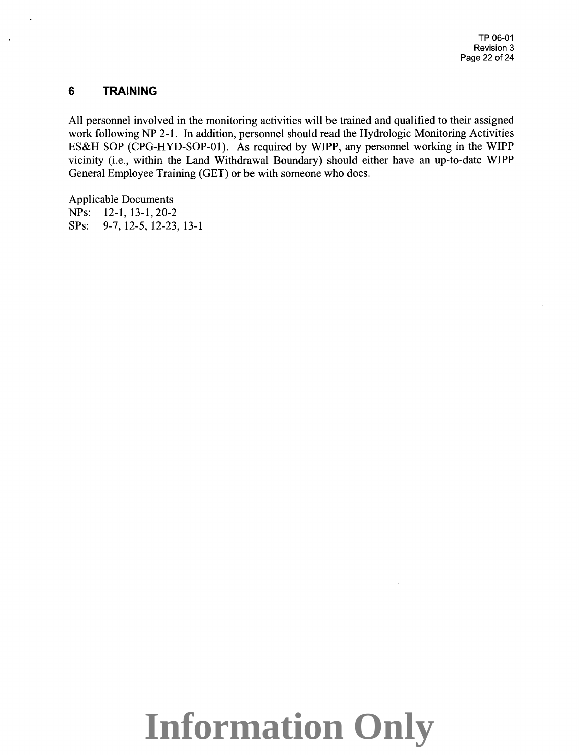### **6 TRAINING**

All personnel involved in the monitoring activities will be trained and qualified to their assigned work following NP 2-1. In addition, personnel should read the Hydrologic Monitoring Activities ES&H SOP (CPG-HYD-SOP-01). As required by WIPP, any personnel working in the WIPP vicinity (i.e., within the Land Withdrawal Boundary) should either have an up-to-date WIPP General Employee Training (GET) or be with someone who does.

Applicable Documents NPs: 12-1, 13-1, 20-2 SPs: 9-7, 12-5, 12-23, 13-1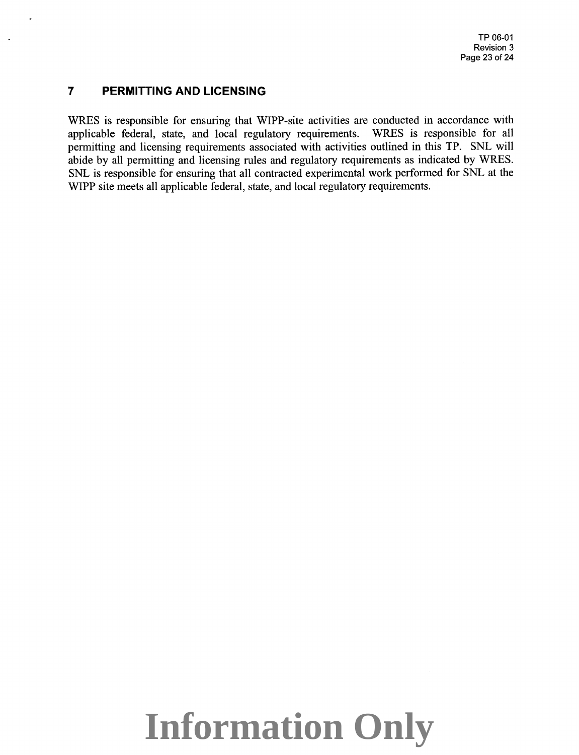#### **7 PERMITTING AND LICENSING**

WRES is responsible for ensuring that WIPP-site activities are conducted in accordance with applicable federal, state, and local regulatory requirements. WRES is responsible for all permitting and licensing requirements associated with activities outlined in this TP. SNL will abide by all permitting and licensing rules and regulatory requirements as indicated by WRES. SNL is responsible for ensuring that all contracted experimental work performed for SNL at the WIPP site meets all applicable federal, state, and local regulatory requirements.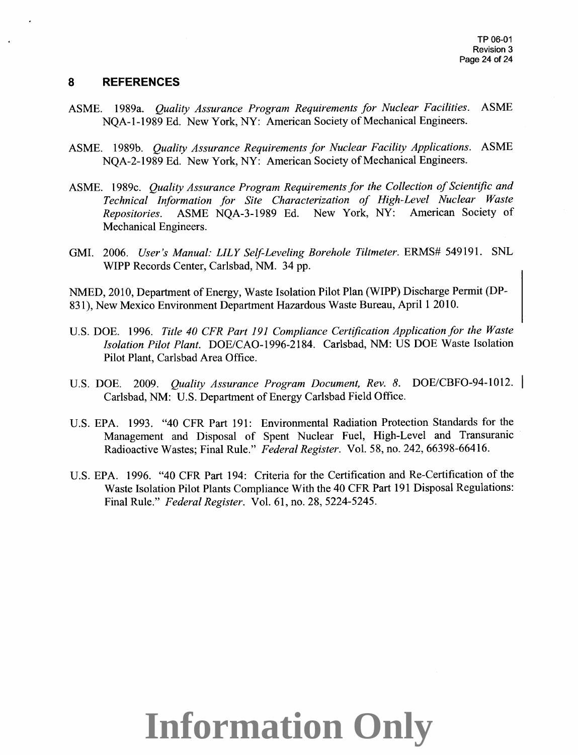#### **8 REFERENCES**

- ASME. 1989a. *Quality Assurance Program Requirements for Nuclear Facilities.* ASME NOA-1-1989 Ed. New York, NY: American Society of Mechanical Engineers.
- ASME. 1989b. *Quality Assurance Requirements for Nuclear Facility Applications.* ASME NOA-2-1989 Ed. New York, NY: American Society of Mechanical Engineers.
- ASME. 1989c. *Quality Assurance Program Requirements for the Collection of Scientific and Technical Information for Site Characterization of High-Level Nuclear Waste Repositories.* ASME NQA-3-1989 Ed. New York, NY: American Society of Mechanical Engineers.
- GMI. 2006. *User's Manual: LILY Self-Leveling Borehole Tiltmeter.* ERMS# 549191. SNL WIPP Records Center, Carlsbad, NM. 34 pp.

NMED, 2010, Department of Energy, Waste Isolation Pilot Plan (WIPP) Discharge Permit (DP-831), New Mexico Environment Department Hazardous Waste Bureau, April 1 2010.

- U.S. DOE. 1996. *Title 40 CFR Part 191 Compliance Certification Application for the Waste Isolation Pilot Plant.* DOE/CA0-1996-2184. Carlsbad, NM: US DOE Waste Isolation Pilot Plant, Carlsbad Area Office.
- U.S. DOE. 2009. *Quality Assurance Program Document, Rev. 8.* DOE/CBF0-94-1012. I Carlsbad, NM: U.S. Department of Energy Carlsbad Field Office.
- U.S. EPA. 1993. "40 CFR Part 191: Environmental Radiation Protection Standards for the Management and Disposal of Spent Nuclear Fuel, High-Level and Transuranic Radioactive Wastes; Final Rule." *Federal Register.* Vol. 58, no. 242, 66398-66416.
- U.S. EPA. 1996. "40 CFR Part 194: Criteria for the Certification and Re-Certification of the Waste Isolation Pilot Plants Compliance With the 40 CFR Part 191 Disposal Regulations: Final Rule." *Federal Register.* Vol. 61, no. 28, 5224-5245.